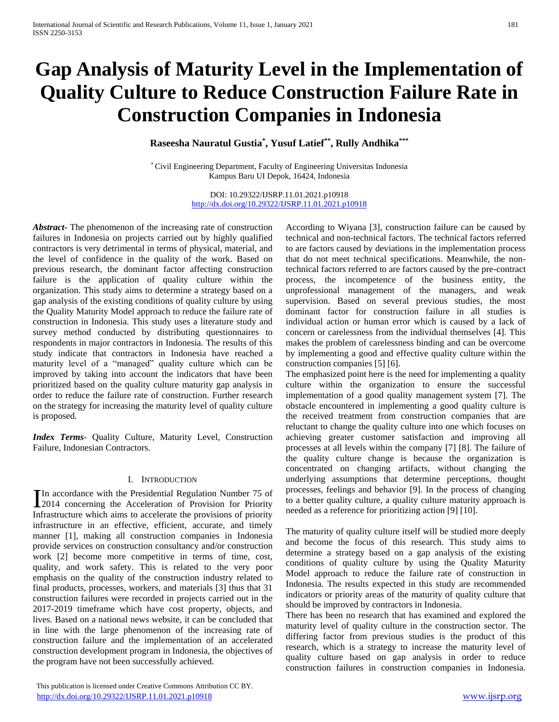# **Gap Analysis of Maturity Level in the Implementation of Quality Culture to Reduce Construction Failure Rate in Construction Companies in Indonesia**

**Raseesha Nauratul Gustia\* , Yusuf Latief\*\* , Rully Andhika\*\*\***

\* Civil Engineering Department, Faculty of Engineering Universitas Indonesia Kampus Baru UI Depok, 16424, Indonesia

> DOI: 10.29322/IJSRP.11.01.2021.p10918 <http://dx.doi.org/10.29322/IJSRP.11.01.2021.p10918>

*Abstract***-** The phenomenon of the increasing rate of construction failures in Indonesia on projects carried out by highly qualified contractors is very detrimental in terms of physical, material, and the level of confidence in the quality of the work. Based on previous research, the dominant factor affecting construction failure is the application of quality culture within the organization. This study aims to determine a strategy based on a gap analysis of the existing conditions of quality culture by using the Quality Maturity Model approach to reduce the failure rate of construction in Indonesia. This study uses a literature study and survey method conducted by distributing questionnaires to respondents in major contractors in Indonesia. The results of this study indicate that contractors in Indonesia have reached a maturity level of a "managed" quality culture which can be improved by taking into account the indicators that have been prioritized based on the quality culture maturity gap analysis in order to reduce the failure rate of construction. Further research on the strategy for increasing the maturity level of quality culture is proposed.

*Index Terms*- Quality Culture, Maturity Level, Construction Failure, Indonesian Contractors.

### I. INTRODUCTION

In accordance with the Presidential Regulation Number 75 of In accordance with the Presidential Regulation Number 75 of  $\frac{2014}{\pi}$  concerning the Acceleration of Provision for Priority Infrastructure which aims to accelerate the provisions of priority infrastructure in an effective, efficient, accurate, and timely manner [1], making all construction companies in Indonesia provide services on construction consultancy and/or construction work [2] become more competitive in terms of time, cost, quality, and work safety. This is related to the very poor emphasis on the quality of the construction industry related to final products, processes, workers, and materials [3] thus that 31 construction failures were recorded in projects carried out in the 2017-2019 timeframe which have cost property, objects, and lives. Based on a national news website, it can be concluded that in line with the large phenomenon of the increasing rate of construction failure and the implementation of an accelerated construction development program in Indonesia, the objectives of the program have not been successfully achieved.

 This publication is licensed under Creative Commons Attribution CC BY. <http://dx.doi.org/10.29322/IJSRP.11.01.2021.p10918> [www.ijsrp.org](http://ijsrp.org/)

According to Wiyana [3], construction failure can be caused by technical and non-technical factors. The technical factors referred to are factors caused by deviations in the implementation process that do not meet technical specifications. Meanwhile, the nontechnical factors referred to are factors caused by the pre-contract process, the incompetence of the business entity, the unprofessional management of the managers, and weak supervision. Based on several previous studies, the most dominant factor for construction failure in all studies is individual action or human error which is caused by a lack of concern or carelessness from the individual themselves [4]. This makes the problem of carelessness binding and can be overcome by implementing a good and effective quality culture within the construction companies [5] [6].

The emphasized point here is the need for implementing a quality culture within the organization to ensure the successful implementation of a good quality management system [7]. The obstacle encountered in implementing a good quality culture is the received treatment from construction companies that are reluctant to change the quality culture into one which focuses on achieving greater customer satisfaction and improving all processes at all levels within the company [7] [8]. The failure of the quality culture change is because the organization is concentrated on changing artifacts, without changing the underlying assumptions that determine perceptions, thought processes, feelings and behavior [9]. In the process of changing to a better quality culture, a quality culture maturity approach is needed as a reference for prioritizing action [9] [10].

The maturity of quality culture itself will be studied more deeply and become the focus of this research. This study aims to determine a strategy based on a gap analysis of the existing conditions of quality culture by using the Quality Maturity Model approach to reduce the failure rate of construction in Indonesia. The results expected in this study are recommended indicators or priority areas of the maturity of quality culture that should be improved by contractors in Indonesia.

There has been no research that has examined and explored the maturity level of quality culture in the construction sector. The differing factor from previous studies is the product of this research, which is a strategy to increase the maturity level of quality culture based on gap analysis in order to reduce construction failures in construction companies in Indonesia.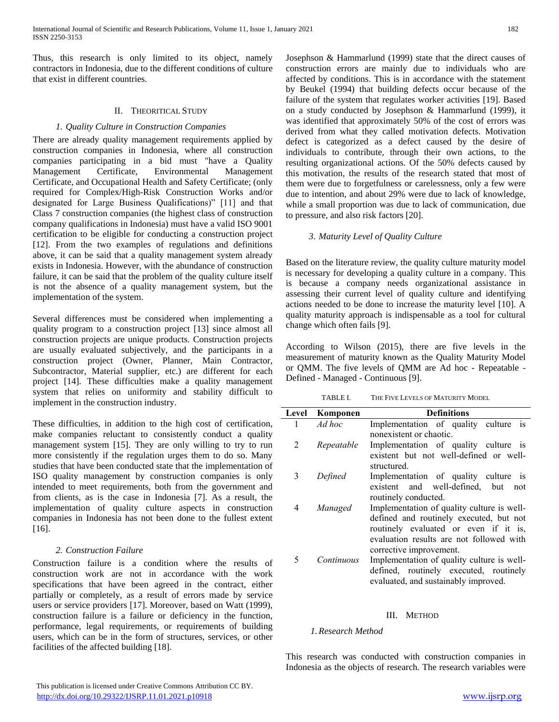Thus, this research is only limited to its object, namely contractors in Indonesia, due to the different conditions of culture that exist in different countries.

## II. THEORITICAL STUDY

## *1. Quality Culture in Construction Companies*

There are already quality management requirements applied by construction companies in Indonesia, where all construction companies participating in a bid must "have a Quality Management Certificate, Environmental Management Certificate, and Occupational Health and Safety Certificate; (only required for Complex/High-Risk Construction Works and/or designated for Large Business Qualifications)" [11] and that Class 7 construction companies (the highest class of construction company qualifications in Indonesia) must have a valid ISO 9001 certification to be eligible for conducting a construction project [12]. From the two examples of regulations and definitions above, it can be said that a quality management system already exists in Indonesia. However, with the abundance of construction failure, it can be said that the problem of the quality culture itself is not the absence of a quality management system, but the implementation of the system.

Several differences must be considered when implementing a quality program to a construction project [13] since almost all construction projects are unique products. Construction projects are usually evaluated subjectively, and the participants in a construction project (Owner, Planner, Main Contractor, Subcontractor, Material supplier, etc.) are different for each project [14]. These difficulties make a quality management system that relies on uniformity and stability difficult to implement in the construction industry.

These difficulties, in addition to the high cost of certification, make companies reluctant to consistently conduct a quality management system [15]. They are only willing to try to run more consistently if the regulation urges them to do so. Many studies that have been conducted state that the implementation of ISO quality management by construction companies is only intended to meet requirements, both from the government and from clients, as is the case in Indonesia [7]. As a result, the implementation of quality culture aspects in construction companies in Indonesia has not been done to the fullest extent [16].

# *2. Construction Failure*

Construction failure is a condition where the results of construction work are not in accordance with the work specifications that have been agreed in the contract, either partially or completely, as a result of errors made by service users or service providers [17]. Moreover, based on Watt (1999), construction failure is a failure or deficiency in the function, performance, legal requirements, or requirements of building users, which can be in the form of structures, services, or other facilities of the affected building [18].

Josephson & Hammarlund (1999) state that the direct causes of construction errors are mainly due to individuals who are affected by conditions. This is in accordance with the statement by Beukel (1994) that building defects occur because of the failure of the system that regulates worker activities [19]. Based on a study conducted by Josephson & Hammarlund (1999), it was identified that approximately 50% of the cost of errors was derived from what they called motivation defects. Motivation defect is categorized as a defect caused by the desire of individuals to contribute, through their own actions, to the resulting organizational actions. Of the 50% defects caused by this motivation, the results of the research stated that most of them were due to forgetfulness or carelessness, only a few were due to intention, and about 29% were due to lack of knowledge, while a small proportion was due to lack of communication, due to pressure, and also risk factors [20].

## *3. Maturity Level of Quality Culture*

Based on the literature review, the quality culture maturity model is necessary for developing a quality culture in a company. This is because a company needs organizational assistance in assessing their current level of quality culture and identifying actions needed to be done to increase the maturity level [10]. A quality maturity approach is indispensable as a tool for cultural change which often fails [9].

According to Wilson (2015), there are five levels in the measurement of maturity known as the Quality Maturity Model or QMM. The five levels of QMM are Ad hoc - Repeatable - Defined - Managed - Continuous [9].

TABLE I. THE FIVE LEVELS OF MATURITY MODEL

| Level          | Komponen   | <b>Definitions</b>                                                                                                                                      |
|----------------|------------|---------------------------------------------------------------------------------------------------------------------------------------------------------|
| 1              | Ad hoc     | is<br>Implementation of quality culture                                                                                                                 |
| $\mathfrak{D}$ | Repeatable | nonexistent or chaotic.<br>Implementation of quality culture is                                                                                         |
|                |            | existent but not well-defined or well-<br>structured.                                                                                                   |
| 3              | Defined    | Implementation of quality culture<br>$\overline{1}$<br>existent and well-defined, but<br>not                                                            |
|                |            | routinely conducted.                                                                                                                                    |
| 4              | Managed    | Implementation of quality culture is well-                                                                                                              |
|                |            | defined and routinely executed, but not<br>routinely evaluated or even if it is,<br>evaluation results are not followed with<br>corrective improvement. |
| 5              | Continuous | Implementation of quality culture is well-<br>defined, routinely executed, routinely<br>evaluated, and sustainably improved.                            |

# III. METHOD

# *1.Research Method*

This research was conducted with construction companies in Indonesia as the objects of research. The research variables were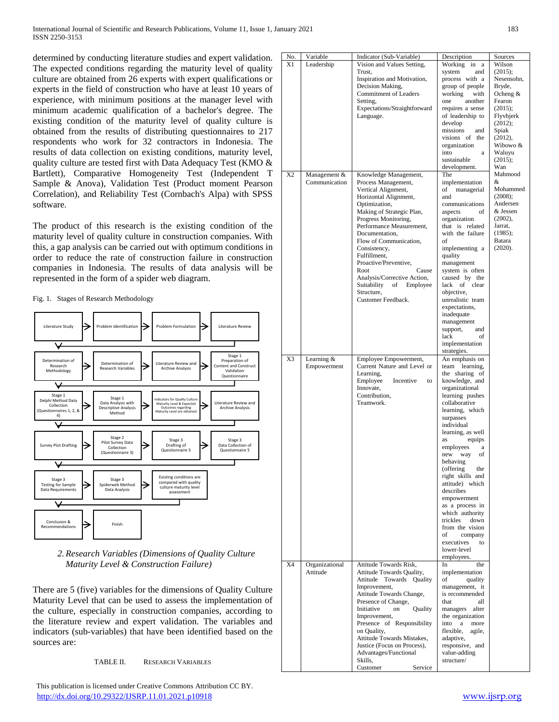determined by conducting literature studies and expert validation. The expected conditions regarding the maturity level of quality culture are obtained from 26 experts with expert qualifications or experts in the field of construction who have at least 10 years of experience, with minimum positions at the manager level with minimum academic qualification of a bachelor's degree. The existing condition of the maturity level of quality culture is obtained from the results of distributing questionnaires to 217 respondents who work for 32 contractors in Indonesia. The results of data collection on existing conditions, maturity level, quality culture are tested first with Data Adequacy Test (KMO & Bartlett), Comparative Homogeneity Test (Independent T Sample & Anova), Validation Test (Product moment Pearson Correlation), and Reliability Test (Cornbach's Alpa) with SPSS software.

The product of this research is the existing condition of the maturity level of quality culture in construction companies. With this, a gap analysis can be carried out with optimum conditions in order to reduce the rate of construction failure in construction companies in Indonesia. The results of data analysis will be represented in the form of a spider web diagram.

Fig. 1. Stages of Research Methodology



*2.Research Variables (Dimensions of Quality Culture Maturity Level & Construction Failure)*

There are 5 (five) variables for the dimensions of Quality Culture Maturity Level that can be used to assess the implementation of the culture, especially in construction companies, according to the literature review and expert validation. The variables and indicators (sub-variables) that have been identified based on the sources are:

TABLE II. RESEARCH VARIABLES

 This publication is licensed under Creative Commons Attribution CC BY. <http://dx.doi.org/10.29322/IJSRP.11.01.2021.p10918> [www.ijsrp.org](http://ijsrp.org/)

| No.            | Variable       | Indicator (Sub-Variable)                                  | Description                         | Sources               |
|----------------|----------------|-----------------------------------------------------------|-------------------------------------|-----------------------|
| X1             | Leadership     | Vision and Values Setting,                                | Working in a                        | Wilson                |
|                |                | Trust,<br>Inspiration and Motivation,                     | system<br>and<br>process with a     | (2015);<br>Nesensohn, |
|                |                | Decision Making,                                          | group of people                     | Bryde,                |
|                |                | Commitment of Leaders                                     | working<br>with                     | Ocheng $&$            |
|                |                | Setting,                                                  | another<br>one                      | Fearon                |
|                |                | Expectations/Straightforward                              | requires a sense                    | (2015);               |
|                |                | Language.                                                 | of leadership to                    | Flyvbjerk             |
|                |                |                                                           | develop                             | (2012);               |
|                |                |                                                           | missions<br>and                     | Spiak                 |
|                |                |                                                           | visions of the<br>organization      | (2012),<br>Wibowo &   |
|                |                |                                                           | into<br>$\mathbf{a}$                | Waluyu                |
|                |                |                                                           | sustainable                         | $(2015)$ ;            |
|                |                |                                                           | development.                        | Wan                   |
| X <sub>2</sub> | Management &   | Knowledge Management,                                     | The                                 | Mahmood               |
|                | Communication  | Process Management,                                       | implementation                      | &                     |
|                |                | Vertical Alignment,                                       | of<br>managerial                    | Mohammed              |
|                |                | Horizontal Alignment,                                     | and                                 | (2008);               |
|                |                | Optimization,                                             | communications<br>of                | Andersen<br>& Jessen  |
|                |                | Making of Strategic Plan,<br>Progress Monitoring,         | aspects<br>organization             | (2002),               |
|                |                | Performance Measurement,                                  | that is related                     | Jarrat,               |
|                |                | Documentation,                                            | with the failure                    | (1985):               |
|                |                | Flow of Communication,                                    | of                                  | Batara                |
|                |                | Consistency,                                              | implementing a                      | (2020).               |
|                |                | Fulfillment,                                              | quality                             |                       |
|                |                | Proactive/Preventive,                                     | management                          |                       |
|                |                | Root<br>Cause                                             | system is often                     |                       |
|                |                | Analysis/Corrective Action,<br>Suitability<br>of Employee | caused by the<br>lack of clear      |                       |
|                |                | Structure,                                                | objective,                          |                       |
|                |                | Customer Feedback.                                        | unrealistic team                    |                       |
|                |                |                                                           | expectations,                       |                       |
|                |                |                                                           | inadequate                          |                       |
|                |                |                                                           | management                          |                       |
|                |                |                                                           | support,<br>and                     |                       |
|                |                |                                                           | lack<br>of                          |                       |
|                |                |                                                           | implementation<br>strategies.       |                       |
| X3             | Learning &     | Employee Empowerment,                                     | An emphasis on                      |                       |
|                | Empowerment    | Current Nature and Level or                               | team learning,                      |                       |
|                |                | Learning,                                                 | the sharing of                      |                       |
|                |                | Employee<br>Incentive<br>to                               | knowledge, and                      |                       |
|                |                | Innovate,                                                 | organizational                      |                       |
|                |                | Contribution,<br>Teamwork.                                | learning pushes<br>collaborative    |                       |
|                |                |                                                           | learning, which                     |                       |
|                |                |                                                           | surpasses                           |                       |
|                |                |                                                           | individual                          |                       |
|                |                |                                                           | learning, as well                   |                       |
|                |                |                                                           | as<br>equips                        |                       |
|                |                |                                                           | employees<br>a                      |                       |
|                |                |                                                           | new way<br>of                       |                       |
|                |                |                                                           | behaving<br>(offering<br>the        |                       |
|                |                |                                                           | right skills and                    |                       |
|                |                |                                                           | attitude) which                     |                       |
|                |                |                                                           | describes                           |                       |
|                |                |                                                           | empowerment                         |                       |
|                |                |                                                           | as a process in                     |                       |
|                |                |                                                           | which authority<br>trickles<br>down |                       |
|                |                |                                                           | from the vision                     |                       |
|                |                |                                                           | of<br>company                       |                       |
|                |                |                                                           | executives<br>to                    |                       |
|                |                |                                                           | lower-level                         |                       |
|                |                |                                                           | employees.                          |                       |
| X4             | Organizational | Attitude Towards Risk,                                    | In<br>the                           |                       |
|                | Attitude       | Attitude Towards Quality,                                 | implementation<br>of                |                       |
|                |                | Attitude Towards Quality<br>Improvement,                  | quality<br>management, it           |                       |
|                |                | Attitude Towards Change,                                  | is recommended                      |                       |
|                |                | Presence of Change,                                       | that<br>all                         |                       |
|                |                | Initiative<br>Quality<br>on                               | managers alter                      |                       |
|                |                | Improvement,                                              | the organization                    |                       |
|                |                | Presence of Responsibility                                | into<br>a<br>more                   |                       |
|                |                | on Quality,<br>Attitude Towards Mistakes,                 | flexible,<br>agile,<br>adaptive,    |                       |
|                |                | Justice (Focus on Process),                               | responsive, and                     |                       |
|                |                | Advantages/Functional                                     | value-adding                        |                       |
|                |                | Skills,                                                   | structure/                          |                       |
|                |                | Customer<br>Service                                       |                                     |                       |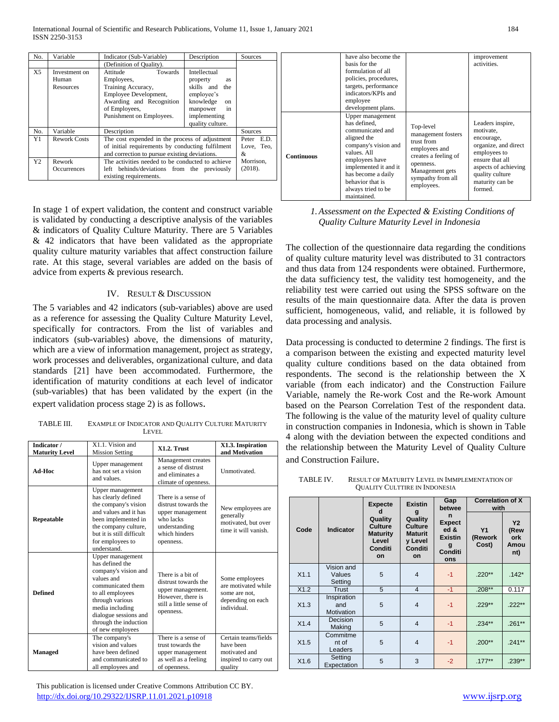International Journal of Scientific and Research Publications, Volume 11, Issue 1, January 2021 184 ISSN 2250-3153

| No.            | Variable            | Indicator (Sub-Variable)                         | Description           | Sources    |                   | have also become the  |                                 | improvement          |
|----------------|---------------------|--------------------------------------------------|-----------------------|------------|-------------------|-----------------------|---------------------------------|----------------------|
|                |                     | (Definition of Quality).                         |                       |            |                   | basis for the         |                                 | activities.          |
| X <sub>5</sub> | Investment on       | Towards<br>Attitude                              | Intellectual          |            |                   | formulation of all    |                                 |                      |
|                | Human               | Employees,                                       | property<br><b>as</b> |            |                   | policies, procedures, |                                 |                      |
|                | Resources           | Training Accuracy,                               | skills<br>and<br>the  |            |                   | targets, performance  |                                 |                      |
|                |                     | Employee Development,                            | employee's            |            |                   | indicators/KPIs and   |                                 |                      |
|                |                     | Awarding and Recognition                         | knowledge<br>on       |            |                   | employee              |                                 |                      |
|                |                     | of Employees,                                    | manpower<br>1n        |            |                   | development plans.    |                                 |                      |
|                |                     | Punishment on Employees.                         | implementing          |            |                   | Upper management      |                                 |                      |
|                |                     |                                                  | quality culture.      |            |                   | has defined,          |                                 | Leaders inspire,     |
| No.            | Variable            | Description                                      |                       | Sources    |                   | communicated and      | Top-level<br>management fosters | motivate,            |
| Y1             | <b>Rework Costs</b> | The cost expended in the process of adjustment   |                       | Peter E.D. |                   | aligned the           | trust from                      | encourage,           |
|                |                     | of initial requirements by conducting fulfilment |                       | Love, Teo, |                   | company's vision and  | employees and                   | organize, and direct |
|                |                     | and correction to pursue existing deviations.    |                       | &          | <b>Continuous</b> | values. All           | creates a feeling of            | employees to         |
| Y <sub>2</sub> | Rework              | The activities needed to be conducted to achieve |                       | Morrison.  |                   | employees have        | openness.                       | ensure that all      |
|                | Occurrences         | behinds/deviations from the previously<br>left   |                       | (2018).    |                   | implemented it and it | Management gets                 | aspects of achieving |
|                |                     | existing requirements.                           |                       |            |                   | has become a daily    | sympathy from all               | quality culture      |
|                |                     |                                                  |                       |            |                   | behavior that is      | employees.                      | maturity can be      |
|                |                     |                                                  |                       |            |                   | always tried to be    |                                 | formed.              |

In stage 1 of expert validation, the content and construct variable is validated by conducting a descriptive analysis of the variables & indicators of Quality Culture Maturity. There are 5 Variables & 42 indicators that have been validated as the appropriate quality culture maturity variables that affect construction failure rate. At this stage, several variables are added on the basis of advice from experts & previous research.

#### IV. RESULT & DISCUSSION

The 5 variables and 42 indicators (sub-variables) above are used as a reference for assessing the Quality Culture Maturity Level, specifically for contractors. From the list of variables and indicators (sub-variables) above, the dimensions of maturity, which are a view of information management, project as strategy, work processes and deliverables, organizational culture, and data standards [21] have been accommodated. Furthermore, the identification of maturity conditions at each level of indicator (sub-variables) that has been validated by the expert (in the expert validation process stage 2) is as follows.

TABLE III. EXAMPLE OF INDICATOR AND QUALITY CULTURE MATURITY LEVEL

| Indicator /<br><b>Maturity Level</b> | X1.1. Vision and<br><b>Mission Setting</b>                                                                                                                                                                                     | <b>X1.2. Trust</b>                                                                                                          | X1.3. Inspiration<br>and Motivation                                                        |
|--------------------------------------|--------------------------------------------------------------------------------------------------------------------------------------------------------------------------------------------------------------------------------|-----------------------------------------------------------------------------------------------------------------------------|--------------------------------------------------------------------------------------------|
| Ad-Hoc                               | Upper management<br>has not set a vision<br>and values.                                                                                                                                                                        | Management creates<br>a sense of distrust<br>and eliminates a<br>climate of openness.                                       | Unmotivated.                                                                               |
| Repeatable                           | Upper management<br>has clearly defined<br>the company's vision<br>and values and it has<br>been implemented in<br>the company culture,<br>but it is still difficult<br>for employees to<br>understand.                        | There is a sense of<br>distrust towards the<br>upper management<br>who lacks<br>understanding<br>which hinders<br>openness. | New employees are<br>generally<br>motivated, but over<br>time it will vanish.              |
| <b>Defined</b>                       | Upper management<br>has defined the<br>company's vision and<br>values and<br>communicated them<br>to all employees<br>through various<br>media including<br>dialogue sessions and<br>through the induction<br>of new employees | There is a bit of<br>distrust towards the<br>upper management.<br>However, there is<br>still a little sense of<br>openness. | Some employees<br>are motivated while<br>some are not,<br>depending on each<br>individual. |
| <b>Managed</b>                       | The company's<br>vision and values<br>have been defined<br>and communicated to<br>all employees and                                                                                                                            | There is a sense of<br>trust towards the<br>upper management<br>as well as a feeling<br>of openness.                        | Certain teams/fields<br>have been<br>motivated and<br>inspired to carry out<br>quality     |

*1.Assessment on the Expected & Existing Conditions of Quality Culture Maturity Level in Indonesia* 

maintained.

The collection of the questionnaire data regarding the conditions of quality culture maturity level was distributed to 31 contractors and thus data from 124 respondents were obtained. Furthermore, the data sufficiency test, the validity test homogeneity, and the reliability test were carried out using the SPSS software on the results of the main questionnaire data. After the data is proven sufficient, homogeneous, valid, and reliable, it is followed by data processing and analysis.

Data processing is conducted to determine 2 findings. The first is a comparison between the existing and expected maturity level quality culture conditions based on the data obtained from respondents. The second is the relationship between the X variable (from each indicator) and the Construction Failure Variable, namely the Re-work Cost and the Re-work Amount based on the Pearson Correlation Test of the respondent data. The following is the value of the maturity level of quality culture in construction companies in Indonesia, which is shown in Table 4 along with the deviation between the expected conditions and the relationship between the Maturity Level of Quality Culture and Construction Failure.

TABLE IV. RESULT OF MATURITY LEVEL IN IMMPLEMENTATION OF QUALITY CULTTIRE IN INDONESIA

|      |                                                                                                                                                              | <b>Expecte</b><br>d | <b>Existin</b>                                                      | Gap<br>betwee                      | <b>Correlation of X</b><br>with         |           |
|------|--------------------------------------------------------------------------------------------------------------------------------------------------------------|---------------------|---------------------------------------------------------------------|------------------------------------|-----------------------------------------|-----------|
| Code | g<br>Quality<br>Quality<br>Culture<br>Culture<br><b>Indicator</b><br><b>Maturit</b><br><b>Maturity</b><br>Level<br>y Level<br>Conditi<br>Conditi<br>on<br>on |                     | n<br><b>Expect</b><br>ed &<br><b>Existin</b><br>g<br>Conditi<br>ons | Y <sub>1</sub><br>(Rework<br>Cost) | <b>Y2</b><br>(Rew<br>ork<br>Amou<br>nt) |           |
| X1.1 | Vision and<br>Values<br>Setting                                                                                                                              | 5                   | $\overline{4}$                                                      | $-1$                               | $.220**$                                | $.142*$   |
| X1.2 | Trust                                                                                                                                                        | 5                   | $\overline{4}$                                                      | $-1$                               | $.208**$                                | 0.117     |
| X1.3 | Inspiration<br>and<br>Motivation                                                                                                                             | 5                   | $\overline{4}$                                                      | $-1$                               | $.229**$                                | $.222**$  |
| X1.4 | Decision<br>Making                                                                                                                                           | 5                   | $\overline{4}$                                                      | $-1$                               | $.234***$                               | $.261***$ |
| X1.5 | Commitme<br>nt of<br>Leaders                                                                                                                                 | 5                   | $\overline{4}$                                                      | $-1$                               | $.200**$                                | $.241**$  |
| X1.6 | Setting<br>Expectation                                                                                                                                       | 5                   | 3                                                                   | $-2$                               | $.177***$                               | $.239**$  |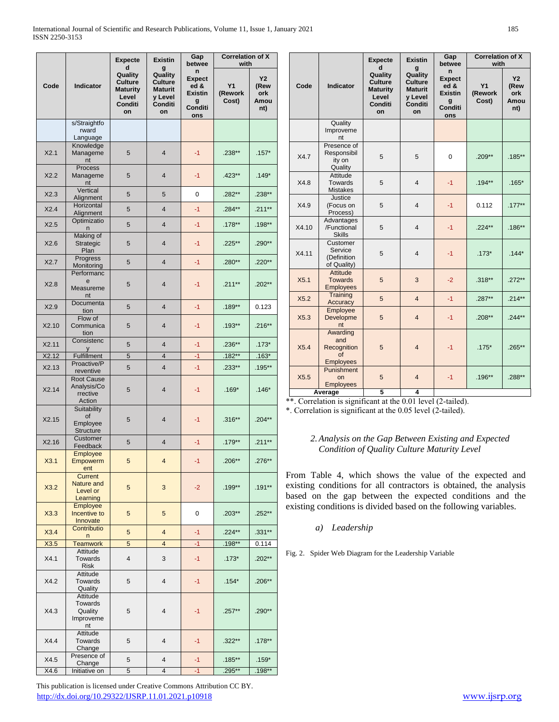|       |                                                        | <b>Expecte</b>                                                              | <b>Existin</b>                                                               | Gap<br>betwee                                                       | <b>Correlation of X</b><br>with    |                                         |
|-------|--------------------------------------------------------|-----------------------------------------------------------------------------|------------------------------------------------------------------------------|---------------------------------------------------------------------|------------------------------------|-----------------------------------------|
| Code  | Indicator                                              | d<br>Quality<br><b>Culture</b><br><b>Maturity</b><br>Level<br>Conditi<br>on | g<br>Quality<br><b>Culture</b><br><b>Maturit</b><br>y Level<br>Conditi<br>on | n<br><b>Expect</b><br>ed &<br><b>Existin</b><br>g<br>Conditi<br>ons | Y <sub>1</sub><br>(Rework<br>Cost) | <b>Y2</b><br>(Rew<br>ork<br>Amou<br>nt) |
|       | s/Straightfo<br>rward<br>Language                      |                                                                             |                                                                              |                                                                     |                                    |                                         |
| X2.1  | Knowledge<br>Manageme<br>nt                            | 5                                                                           | $\overline{4}$                                                               | $-1$                                                                | $.238**$                           | $.157*$                                 |
| X2.2  | Process<br>Manageme<br>nt                              | 5                                                                           | $\overline{4}$                                                               | $-1$                                                                | $.423**$                           | $.149*$                                 |
| X2.3  | Vertical<br>Alignment                                  | 5                                                                           | 5                                                                            | 0                                                                   | .282**                             | .238**                                  |
| X2.4  | Horizontal<br>Alignment                                | 5                                                                           | $\overline{4}$                                                               | $-1$                                                                | $.284**$                           | $.211**$                                |
| X2.5  | Optimizatio<br>n                                       | 5                                                                           | $\overline{4}$                                                               | $-1$                                                                | $.178***$                          | $.198**$                                |
| X2.6  | Making of<br>Strategic<br>Plan                         | 5                                                                           | $\overline{4}$                                                               | $-1$                                                                | $.225***$                          | $.290**$                                |
| X2.7  | Progress<br>Monitoring                                 | 5                                                                           | $\overline{4}$                                                               | $-1$                                                                | $.280**$                           | $.220**$                                |
| X2.8  | Performanc<br>e<br>Measureme<br>nt                     | 5                                                                           | $\overline{4}$                                                               | $-1$                                                                | $.211***$                          | $.202***$                               |
| X2.9  | Documenta<br>tion                                      | 5                                                                           | $\overline{4}$                                                               | $-1$                                                                | $.189**$                           | 0.123                                   |
| X2.10 | Flow of<br>Communica<br>tion                           | 5                                                                           | $\overline{4}$                                                               | $-1$                                                                | $.193***$                          | $.216***$                               |
| X2.11 | Consistenc<br>У                                        | 5                                                                           | $\overline{4}$                                                               | $-1$                                                                | $.236**$                           | $.173*$                                 |
| X2.12 | Fulfillment                                            | 5                                                                           | $\overline{4}$                                                               | $-1$                                                                | $.182**$                           | $.163*$                                 |
| X2.13 | Proactive/P<br>reventive                               | 5                                                                           | $\overline{4}$                                                               | $-1$                                                                | $.233**$                           | $.195***$                               |
| X2.14 | <b>Root Cause</b><br>Analysis/Co<br>rrective<br>Action | 5                                                                           | $\overline{4}$                                                               | $-1$                                                                | $.169*$                            | $.146*$                                 |
| X2.15 | Suitability<br>of<br>Employee<br><b>Structure</b>      | 5                                                                           | $\overline{4}$                                                               | $-1$                                                                | $.316**$                           | $.204**$                                |
| X2.16 | Customer<br>Feedback                                   | 5                                                                           | $\overline{4}$                                                               | $-1$                                                                | $.179**$                           | $.211***$                               |
| X3.1  | <b>Employee</b><br>Empowerm<br>ent                     | 5                                                                           | $\overline{4}$                                                               | $-1$                                                                | .206**                             | 276**                                   |
| X3.2  | Current<br>Nature and<br>Level or<br>Learning          | 5                                                                           | 3                                                                            | $-2$                                                                | $.199**$                           | $.191**$                                |
| X3.3  | Employee<br>Incentive to<br>Innovate                   | 5                                                                           | 5                                                                            | 0                                                                   | $.203**$                           | $.252**$                                |
| X3.4  | Contributio<br>n.                                      | 5                                                                           | $\overline{4}$                                                               | $-1$                                                                | $.224**$                           | $.331**$                                |
| X3.5  | <b>Teamwork</b>                                        | 5                                                                           | $\overline{4}$                                                               | $-1$                                                                | $.198**$                           | 0.114                                   |
| X4.1  | Attitude<br>Towards<br><b>Risk</b>                     | 4                                                                           | 3                                                                            | $-1$                                                                | $.173*$                            | $.202**$                                |
| X4.2  | Attitude<br>Towards<br>Quality                         | 5                                                                           | $\overline{4}$                                                               | $-1$                                                                | $.154*$                            | $.206**$                                |
| X4.3  | Attitude<br>Towards<br>Quality<br>Improveme<br>nt      | 5                                                                           | $\overline{4}$                                                               | -1                                                                  | $.257**$                           | $.290**$                                |
| X4.4  | Attitude<br>Towards<br>Change                          | 5                                                                           | $\overline{4}$                                                               | $-1$                                                                | $.322**$                           | $.178**$                                |
| X4.5  | Presence of<br>Change                                  | 5                                                                           | $\overline{4}$                                                               | $-1$                                                                | $.185***$                          | $.159*$                                 |
| X4.6  | Initiative on                                          | 5                                                                           | 4                                                                            | $-1$                                                                | .295**                             | 198**                                   |

**Code Indicator Expecte d Quality Culture Maturity Level Conditi on Existin g Quality Culture Maturit y Level Conditi on Gap betwee n Expect ed & Existin g Conditi ons Correlation of X with Y1 (Rework Cost) Y2 (Rew ork Amou nt) Quality** Improveme nt X4.7 Presence of Responsibil ity on **Quality** 5 **5** 5 0 .209\*\* .185\*\* X4.8 Attitude Towards Mistakes 5  $\begin{array}{|c|c|c|c|c|c|c|c|} \hline \end{array}$  4  $\begin{array}{|c|c|c|c|c|} \hline \end{array}$  .194\*\*  $\begin{array}{|c|c|c|c|c|c|} \hline \end{array}$  .165\* X4.9 Justice (Focus on Process)  $5 \t 4 \t 1 \t 0.112 \t 177**$ X4.10 Advantages /Functional Skills 5 4  $-1$  .224\*\* .186\*\* X4.11 Customer Service (Definition of Quality)  $5 \t 4 \t -1 \t 173^* \t 144^*$ X5.1 Attitude Towards **Employees** 5 3 3 -2 .318\*\* .272\*\* X5.2 Training<br>Accuracy  $\frac{1}{2}$  Accuracy  $\begin{vmatrix} 5 & 4 & -1 & 287^{**} \\ 0 & -287^{**} & -1 & -1 \end{vmatrix}$ X5.3 **Employee** Developme nt 5 4  $-1$  .208\*\* .244\*\* X5.4 Awarding and **Recognition** of **Employees** 5 4  $-1$  .175\* .265\*\* X5.5 Punishment on **Employees** 5 4 -1 .196\*\* .288\*\* **Average 5 4**

\*\*. Correlation is significant at the 0.01 level (2-tailed).

\*. Correlation is significant at the 0.05 level (2-tailed).

## *2.Analysis on the Gap Between Existing and Expected Condition of Quality Culture Maturity Level*

From Table 4, which shows the value of the expected and existing conditions for all contractors is obtained, the analysis based on the gap between the expected conditions and the existing conditions is divided based on the following variables.

*a) Leadership*

Fig. 2. Spider Web Diagram for the Leadership Variable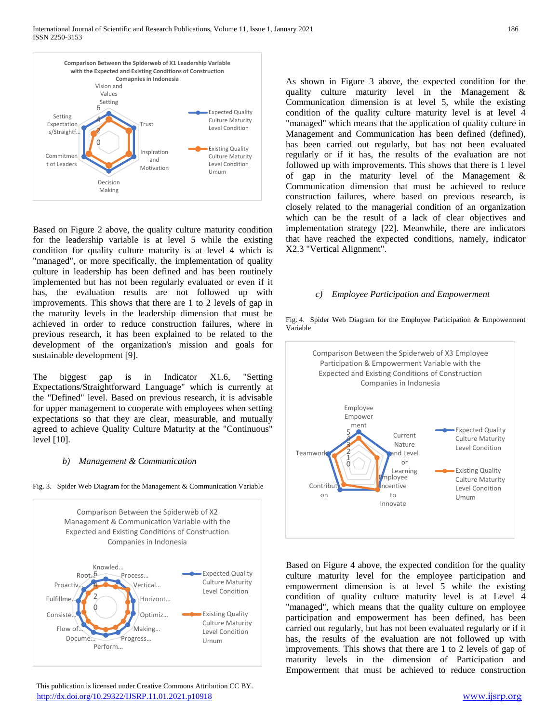

Based on Figure 2 above, the quality culture maturity condition for the leadership variable is at level 5 while the existing condition for quality culture maturity is at level 4 which is "managed", or more specifically, the implementation of quality culture in leadership has been defined and has been routinely implemented but has not been regularly evaluated or even if it has, the evaluation results are not followed up with improvements. This shows that there are 1 to 2 levels of gap in the maturity levels in the leadership dimension that must be achieved in order to reduce construction failures, where in previous research, it has been explained to be related to the development of the organization's mission and goals for sustainable development [9].

The biggest gap is in Indicator X1.6, "Setting Expectations/Straightforward Language" which is currently at the "Defined" level. Based on previous research, it is advisable for upper management to cooperate with employees when setting expectations so that they are clear, measurable, and mutually agreed to achieve Quality Culture Maturity at the "Continuous" level [10].

#### *b) Management & Communication*

Fig. 3. Spider Web Diagram for the Management & Communication Variable



 This publication is licensed under Creative Commons Attribution CC BY. <http://dx.doi.org/10.29322/IJSRP.11.01.2021.p10918> [www.ijsrp.org](http://ijsrp.org/)

As shown in Figure 3 above, the expected condition for the quality culture maturity level in the Management & Communication dimension is at level 5, while the existing condition of the quality culture maturity level is at level 4 "managed" which means that the application of quality culture in Management and Communication has been defined (defined), has been carried out regularly, but has not been evaluated regularly or if it has, the results of the evaluation are not followed up with improvements. This shows that there is 1 level of gap in the maturity level of the Management & Communication dimension that must be achieved to reduce construction failures, where based on previous research, is closely related to the managerial condition of an organization which can be the result of a lack of clear objectives and implementation strategy [22]. Meanwhile, there are indicators that have reached the expected conditions, namely, indicator X2.3 "Vertical Alignment".

#### *c) Employee Participation and Empowerment*

Fig. 4. Spider Web Diagram for the Employee Participation & Empowerment Variable



Based on Figure 4 above, the expected condition for the quality culture maturity level for the employee participation and empowerment dimension is at level 5 while the existing condition of quality culture maturity level is at Level 4 "managed", which means that the quality culture on employee participation and empowerment has been defined, has been carried out regularly, but has not been evaluated regularly or if it has, the results of the evaluation are not followed up with improvements. This shows that there are 1 to 2 levels of gap of maturity levels in the dimension of Participation and Empowerment that must be achieved to reduce construction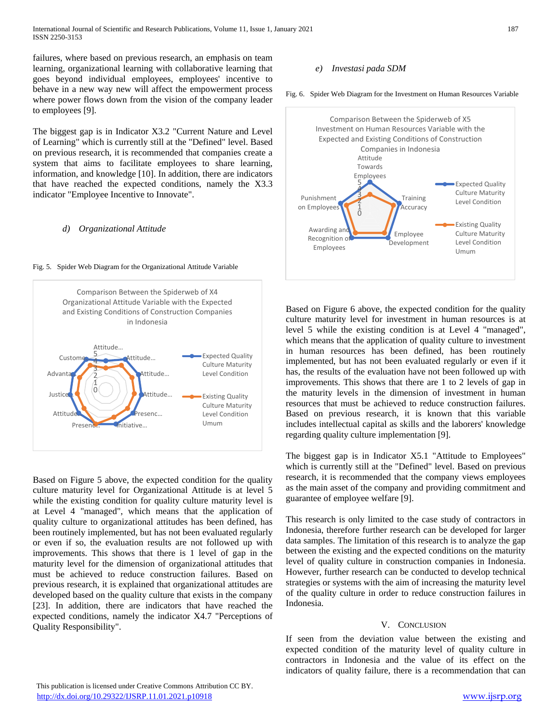failures, where based on previous research, an emphasis on team learning, organizational learning with collaborative learning that goes beyond individual employees, employees' incentive to behave in a new way new will affect the empowerment process where power flows down from the vision of the company leader to employees [9].

The biggest gap is in Indicator X3.2 "Current Nature and Level of Learning" which is currently still at the "Defined" level. Based on previous research, it is recommended that companies create a system that aims to facilitate employees to share learning, information, and knowledge [10]. In addition, there are indicators that have reached the expected conditions, namely the X3.3 indicator "Employee Incentive to Innovate".

### *d) Organizational Attitude*





Based on Figure 5 above, the expected condition for the quality culture maturity level for Organizational Attitude is at level 5 while the existing condition for quality culture maturity level is at Level 4 "managed", which means that the application of quality culture to organizational attitudes has been defined, has been routinely implemented, but has not been evaluated regularly or even if so, the evaluation results are not followed up with improvements. This shows that there is 1 level of gap in the maturity level for the dimension of organizational attitudes that must be achieved to reduce construction failures. Based on previous research, it is explained that organizational attitudes are developed based on the quality culture that exists in the company [23]. In addition, there are indicators that have reached the expected conditions, namely the indicator X4.7 "Perceptions of Quality Responsibility".

# *e) Investasi pada SDM*

Fig. 6. Spider Web Diagram for the Investment on Human Resources Variable



Based on Figure 6 above, the expected condition for the quality culture maturity level for investment in human resources is at level 5 while the existing condition is at Level 4 "managed", which means that the application of quality culture to investment in human resources has been defined, has been routinely implemented, but has not been evaluated regularly or even if it has, the results of the evaluation have not been followed up with improvements. This shows that there are 1 to 2 levels of gap in the maturity levels in the dimension of investment in human resources that must be achieved to reduce construction failures. Based on previous research, it is known that this variable includes intellectual capital as skills and the laborers' knowledge regarding quality culture implementation [9].

The biggest gap is in Indicator X5.1 "Attitude to Employees" which is currently still at the "Defined" level. Based on previous research, it is recommended that the company views employees as the main asset of the company and providing commitment and guarantee of employee welfare [9].

This research is only limited to the case study of contractors in Indonesia, therefore further research can be developed for larger data samples. The limitation of this research is to analyze the gap between the existing and the expected conditions on the maturity level of quality culture in construction companies in Indonesia. However, further research can be conducted to develop technical strategies or systems with the aim of increasing the maturity level of the quality culture in order to reduce construction failures in Indonesia.

### V. CONCLUSION

If seen from the deviation value between the existing and expected condition of the maturity level of quality culture in contractors in Indonesia and the value of its effect on the indicators of quality failure, there is a recommendation that can